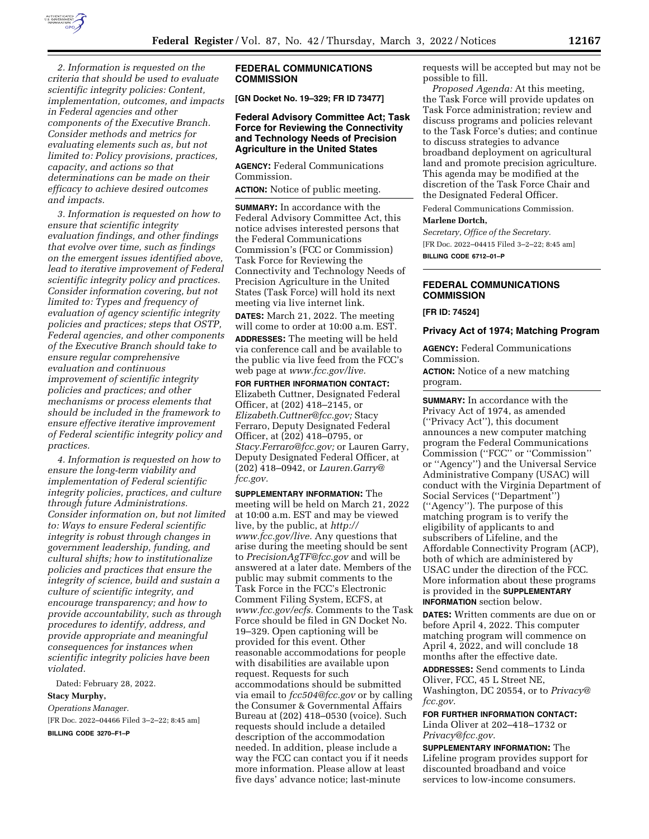

*2. Information is requested on the criteria that should be used to evaluate scientific integrity policies: Content, implementation, outcomes, and impacts in Federal agencies and other components of the Executive Branch. Consider methods and metrics for evaluating elements such as, but not limited to: Policy provisions, practices, capacity, and actions so that determinations can be made on their efficacy to achieve desired outcomes and impacts.* 

*3. Information is requested on how to ensure that scientific integrity evaluation findings, and other findings that evolve over time, such as findings on the emergent issues identified above, lead to iterative improvement of Federal scientific integrity policy and practices. Consider information covering, but not limited to: Types and frequency of evaluation of agency scientific integrity policies and practices; steps that OSTP, Federal agencies, and other components of the Executive Branch should take to ensure regular comprehensive evaluation and continuous improvement of scientific integrity policies and practices; and other mechanisms or process elements that should be included in the framework to ensure effective iterative improvement of Federal scientific integrity policy and practices.* 

*4. Information is requested on how to ensure the long-term viability and implementation of Federal scientific integrity policies, practices, and culture through future Administrations. Consider information on, but not limited to: Ways to ensure Federal scientific integrity is robust through changes in government leadership, funding, and cultural shifts; how to institutionalize policies and practices that ensure the integrity of science, build and sustain a culture of scientific integrity, and encourage transparency; and how to provide accountability, such as through procedures to identify, address, and provide appropriate and meaningful consequences for instances when scientific integrity policies have been violated.* 

Dated: February 28, 2022. **Stacy Murphy,**  *Operations Manager.*  [FR Doc. 2022–04466 Filed 3–2–22; 8:45 am] **BILLING CODE 3270–F1–P** 

## **FEDERAL COMMUNICATIONS COMMISSION**

**[GN Docket No. 19–329; FR ID 73477]** 

## **Federal Advisory Committee Act; Task Force for Reviewing the Connectivity and Technology Needs of Precision Agriculture in the United States**

**AGENCY:** Federal Communications Commission.

**ACTION:** Notice of public meeting.

**SUMMARY:** In accordance with the Federal Advisory Committee Act, this notice advises interested persons that the Federal Communications Commission's (FCC or Commission) Task Force for Reviewing the Connectivity and Technology Needs of Precision Agriculture in the United States (Task Force) will hold its next meeting via live internet link.

**DATES:** March 21, 2022. The meeting will come to order at 10:00 a.m. EST.

**ADDRESSES:** The meeting will be held via conference call and be available to the public via live feed from the FCC's web page at *www.fcc.gov/live.* 

**FOR FURTHER INFORMATION CONTACT:**  Elizabeth Cuttner, Designated Federal Officer, at (202) 418–2145, or *Elizabeth.Cuttner@fcc.gov;* Stacy Ferraro, Deputy Designated Federal Officer, at (202) 418–0795, or *Stacy.Ferraro@fcc.gov;* or Lauren Garry, Deputy Designated Federal Officer, at (202) 418–0942, or *Lauren.Garry@ fcc.gov.* 

**SUPPLEMENTARY INFORMATION:** The meeting will be held on March 21, 2022 at 10:00 a.m. EST and may be viewed live, by the public, at *http:// www.fcc.gov/live.* Any questions that arise during the meeting should be sent to *PrecisionAgTF@fcc.gov* and will be answered at a later date. Members of the public may submit comments to the Task Force in the FCC's Electronic Comment Filing System, ECFS, at *www.fcc.gov/ecfs.* Comments to the Task Force should be filed in GN Docket No. 19–329. Open captioning will be provided for this event. Other reasonable accommodations for people with disabilities are available upon request. Requests for such accommodations should be submitted via email to *fcc504@fcc.gov* or by calling the Consumer & Governmental Affairs Bureau at (202) 418–0530 (voice). Such requests should include a detailed description of the accommodation needed. In addition, please include a way the FCC can contact you if it needs more information. Please allow at least five days' advance notice; last-minute

requests will be accepted but may not be possible to fill.

*Proposed Agenda:* At this meeting, the Task Force will provide updates on Task Force administration; review and discuss programs and policies relevant to the Task Force's duties; and continue to discuss strategies to advance broadband deployment on agricultural land and promote precision agriculture. This agenda may be modified at the discretion of the Task Force Chair and the Designated Federal Officer.

Federal Communications Commission. **Marlene Dortch,** 

*Secretary, Office of the Secretary.*  [FR Doc. 2022–04415 Filed 3–2–22; 8:45 am] **BILLING CODE 6712–01–P** 

# **FEDERAL COMMUNICATIONS COMMISSION**

**[FR ID: 74524]** 

**Privacy Act of 1974; Matching Program** 

**AGENCY:** Federal Communications Commission.

**ACTION:** Notice of a new matching program.

**SUMMARY:** In accordance with the Privacy Act of 1974, as amended (''Privacy Act''), this document announces a new computer matching program the Federal Communications Commission (''FCC'' or ''Commission'' or ''Agency'') and the Universal Service Administrative Company (USAC) will conduct with the Virginia Department of Social Services (''Department'') (''Agency''). The purpose of this matching program is to verify the eligibility of applicants to and subscribers of Lifeline, and the Affordable Connectivity Program (ACP), both of which are administered by USAC under the direction of the FCC. More information about these programs is provided in the **SUPPLEMENTARY INFORMATION** section below.

**DATES:** Written comments are due on or before April 4, 2022. This computer matching program will commence on April 4, 2022, and will conclude 18 months after the effective date.

**ADDRESSES:** Send comments to Linda Oliver, FCC, 45 L Street NE, Washington, DC 20554, or to *Privacy@ fcc.gov.* 

**FOR FURTHER INFORMATION CONTACT:**  Linda Oliver at 202–418–1732 or *Privacy@fcc.gov.* 

**SUPPLEMENTARY INFORMATION:** The Lifeline program provides support for discounted broadband and voice services to low-income consumers.